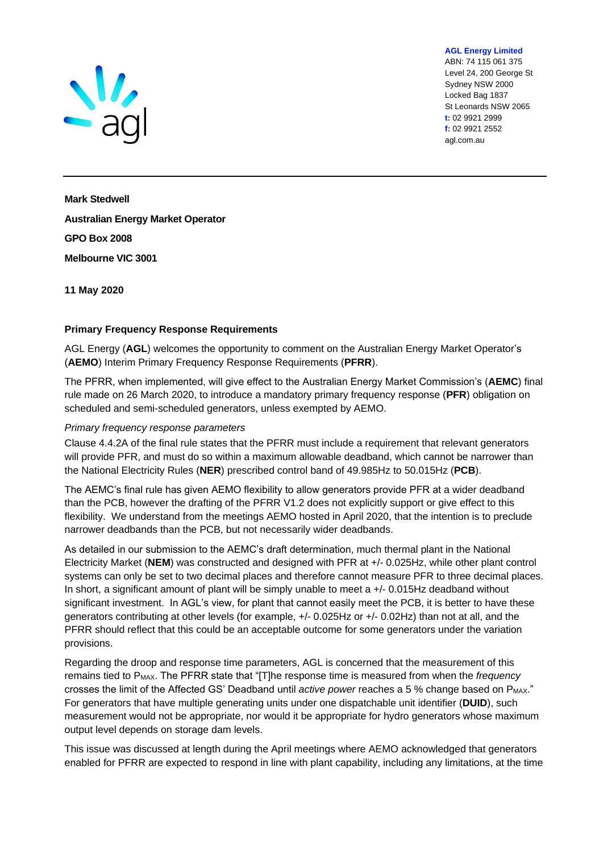

ABN: 74 115 061 375 Level 24, 200 George St Sydney NSW 2000 Locked Bag 1837 St Leonards NSW 2065 **t:** 02 9921 2999 **f:** 02 9921 2552 agl.com.au

**AGL Energy Limited**

**Mark Stedwell Australian Energy Market Operator GPO Box 2008 Melbourne VIC 3001**

**11 May 2020**

## **Primary Frequency Response Requirements**

AGL Energy (**AGL**) welcomes the opportunity to comment on the Australian Energy Market Operator's (**AEMO**) Interim Primary Frequency Response Requirements (**PFRR**).

The PFRR, when implemented, will give effect to the Australian Energy Market Commission's (**AEMC**) final rule made on 26 March 2020, to introduce a mandatory primary frequency response (**PFR**) obligation on scheduled and semi-scheduled generators, unless exempted by AEMO.

## *Primary frequency response parameters*

Clause 4.4.2A of the final rule states that the PFRR must include a requirement that relevant generators will provide PFR, and must do so within a maximum allowable deadband, which cannot be narrower than the National Electricity Rules (**NER**) prescribed control band of 49.985Hz to 50.015Hz (**PCB**).

The AEMC's final rule has given AEMO flexibility to allow generators provide PFR at a wider deadband than the PCB, however the drafting of the PFRR V1.2 does not explicitly support or give effect to this flexibility. We understand from the meetings AEMO hosted in April 2020, that the intention is to preclude narrower deadbands than the PCB, but not necessarily wider deadbands.

As detailed in our submission to the AEMC's draft determination, much thermal plant in the National Electricity Market (**NEM**) was constructed and designed with PFR at +/- 0.025Hz, while other plant control systems can only be set to two decimal places and therefore cannot measure PFR to three decimal places. In short, a significant amount of plant will be simply unable to meet a +/- 0.015Hz deadband without significant investment. In AGL's view, for plant that cannot easily meet the PCB, it is better to have these generators contributing at other levels (for example, +/- 0.025Hz or +/- 0.02Hz) than not at all, and the PFRR should reflect that this could be an acceptable outcome for some generators under the variation provisions.

Regarding the droop and response time parameters, AGL is concerned that the measurement of this remains tied to PMAX. The PFRR state that "[T]he response time is measured from when the *frequency* crosses the limit of the Affected GS' Deadband until *active power* reaches a 5 % change based on P<sub>MAX</sub>." For generators that have multiple generating units under one dispatchable unit identifier (**DUID**), such measurement would not be appropriate, nor would it be appropriate for hydro generators whose maximum output level depends on storage dam levels.

This issue was discussed at length during the April meetings where AEMO acknowledged that generators enabled for PFRR are expected to respond in line with plant capability, including any limitations, at the time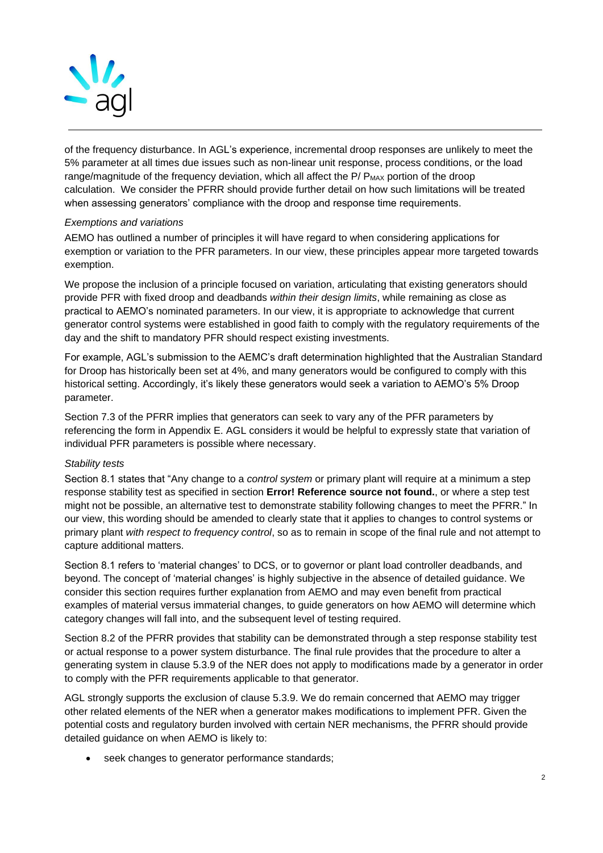

of the frequency disturbance. In AGL's experience, incremental droop responses are unlikely to meet the 5% parameter at all times due issues such as non-linear unit response, process conditions, or the load range/magnitude of the frequency deviation, which all affect the  $P$ /  $P_{MAX}$  portion of the droop calculation. We consider the PFRR should provide further detail on how such limitations will be treated when assessing generators' compliance with the droop and response time requirements.

## *Exemptions and variations*

AEMO has outlined a number of principles it will have regard to when considering applications for exemption or variation to the PFR parameters. In our view, these principles appear more targeted towards exemption.

We propose the inclusion of a principle focused on variation, articulating that existing generators should provide PFR with fixed droop and deadbands *within their design limits*, while remaining as close as practical to AEMO's nominated parameters. In our view, it is appropriate to acknowledge that current generator control systems were established in good faith to comply with the regulatory requirements of the day and the shift to mandatory PFR should respect existing investments.

For example, AGL's submission to the AEMC's draft determination highlighted that the Australian Standard for Droop has historically been set at 4%, and many generators would be configured to comply with this historical setting. Accordingly, it's likely these generators would seek a variation to AEMO's 5% Droop parameter.

Section 7.3 of the PFRR implies that generators can seek to vary any of the PFR parameters by referencing the form in Appendix E. AGL considers it would be helpful to expressly state that variation of individual PFR parameters is possible where necessary.

## *Stability tests*

Section 8.1 states that "Any change to a *control system* or primary plant will require at a minimum a step response stability test as specified in section **Error! Reference source not found.**, or where a step test might not be possible, an alternative test to demonstrate stability following changes to meet the PFRR." In our view, this wording should be amended to clearly state that it applies to changes to control systems or primary plant *with respect to frequency control*, so as to remain in scope of the final rule and not attempt to capture additional matters.

Section 8.1 refers to 'material changes' to DCS, or to governor or plant load controller deadbands, and beyond. The concept of 'material changes' is highly subjective in the absence of detailed guidance. We consider this section requires further explanation from AEMO and may even benefit from practical examples of material versus immaterial changes, to guide generators on how AEMO will determine which category changes will fall into, and the subsequent level of testing required.

Section 8.2 of the PFRR provides that stability can be demonstrated through a step response stability test or actual response to a power system disturbance. The final rule provides that the procedure to alter a generating system in clause 5.3.9 of the NER does not apply to modifications made by a generator in order to comply with the PFR requirements applicable to that generator.

AGL strongly supports the exclusion of clause 5.3.9. We do remain concerned that AEMO may trigger other related elements of the NER when a generator makes modifications to implement PFR. Given the potential costs and regulatory burden involved with certain NER mechanisms, the PFRR should provide detailed guidance on when AEMO is likely to:

seek changes to generator performance standards;